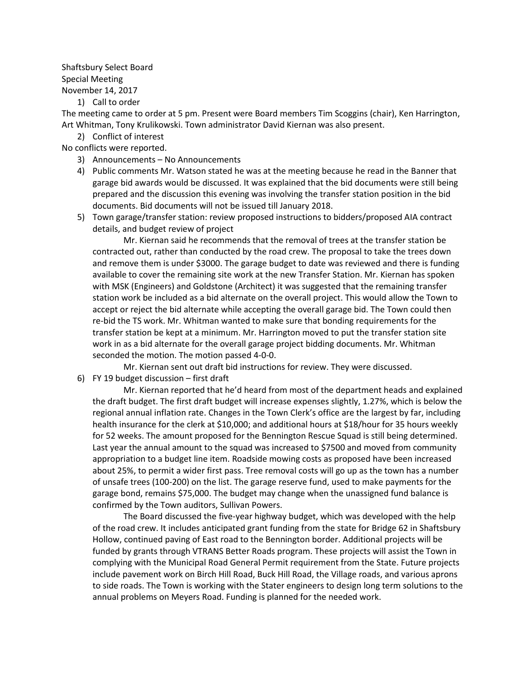## Shaftsbury Select Board Special Meeting November 14, 2017

1) Call to order

The meeting came to order at 5 pm. Present were Board members Tim Scoggins (chair), Ken Harrington, Art Whitman, Tony Krulikowski. Town administrator David Kiernan was also present.

2) Conflict of interest

No conflicts were reported.

- 3) Announcements No Announcements
- 4) Public comments Mr. Watson stated he was at the meeting because he read in the Banner that garage bid awards would be discussed. It was explained that the bid documents were still being prepared and the discussion this evening was involving the transfer station position in the bid documents. Bid documents will not be issued till January 2018.
- 5) Town garage/transfer station: review proposed instructions to bidders/proposed AIA contract details, and budget review of project

Mr. Kiernan said he recommends that the removal of trees at the transfer station be contracted out, rather than conducted by the road crew. The proposal to take the trees down and remove them is under \$3000. The garage budget to date was reviewed and there is funding available to cover the remaining site work at the new Transfer Station. Mr. Kiernan has spoken with MSK (Engineers) and Goldstone (Architect) it was suggested that the remaining transfer station work be included as a bid alternate on the overall project. This would allow the Town to accept or reject the bid alternate while accepting the overall garage bid. The Town could then re-bid the TS work. Mr. Whitman wanted to make sure that bonding requirements for the transfer station be kept at a minimum. Mr. Harrington moved to put the transfer station site work in as a bid alternate for the overall garage project bidding documents. Mr. Whitman seconded the motion. The motion passed 4-0-0.

Mr. Kiernan sent out draft bid instructions for review. They were discussed.

6) FY 19 budget discussion – first draft

Mr. Kiernan reported that he'd heard from most of the department heads and explained the draft budget. The first draft budget will increase expenses slightly, 1.27%, which is below the regional annual inflation rate. Changes in the Town Clerk's office are the largest by far, including health insurance for the clerk at \$10,000; and additional hours at \$18/hour for 35 hours weekly for 52 weeks. The amount proposed for the Bennington Rescue Squad is still being determined. Last year the annual amount to the squad was increased to \$7500 and moved from community appropriation to a budget line item. Roadside mowing costs as proposed have been increased about 25%, to permit a wider first pass. Tree removal costs will go up as the town has a number of unsafe trees (100-200) on the list. The garage reserve fund, used to make payments for the garage bond, remains \$75,000. The budget may change when the unassigned fund balance is confirmed by the Town auditors, Sullivan Powers.

The Board discussed the five-year highway budget, which was developed with the help of the road crew. It includes anticipated grant funding from the state for Bridge 62 in Shaftsbury Hollow, continued paving of East road to the Bennington border. Additional projects will be funded by grants through VTRANS Better Roads program. These projects will assist the Town in complying with the Municipal Road General Permit requirement from the State. Future projects include pavement work on Birch Hill Road, Buck Hill Road, the Village roads, and various aprons to side roads. The Town is working with the Stater engineers to design long term solutions to the annual problems on Meyers Road. Funding is planned for the needed work.